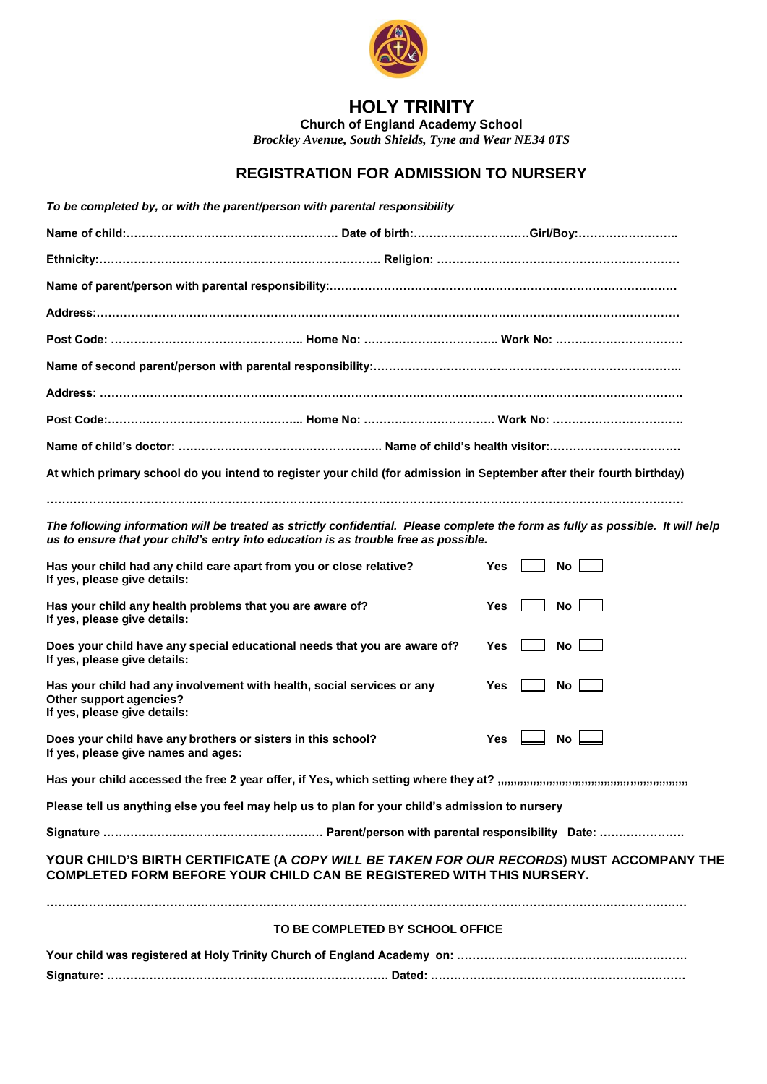

## **HOLY TRINITY**

**Church of England Academy School**

*Brockley Avenue, South Shields, Tyne and Wear NE34 0TS* 

## **REGISTRATION FOR ADMISSION TO NURSERY**

| To be completed by, or with the parent/person with parental responsibility                                                        |                                  |                                                                                                                                 |                                                                                                                                                                   |
|-----------------------------------------------------------------------------------------------------------------------------------|----------------------------------|---------------------------------------------------------------------------------------------------------------------------------|-------------------------------------------------------------------------------------------------------------------------------------------------------------------|
|                                                                                                                                   |                                  |                                                                                                                                 |                                                                                                                                                                   |
|                                                                                                                                   |                                  |                                                                                                                                 |                                                                                                                                                                   |
|                                                                                                                                   |                                  |                                                                                                                                 |                                                                                                                                                                   |
|                                                                                                                                   |                                  |                                                                                                                                 |                                                                                                                                                                   |
|                                                                                                                                   |                                  |                                                                                                                                 |                                                                                                                                                                   |
|                                                                                                                                   |                                  |                                                                                                                                 |                                                                                                                                                                   |
|                                                                                                                                   |                                  |                                                                                                                                 |                                                                                                                                                                   |
|                                                                                                                                   |                                  |                                                                                                                                 |                                                                                                                                                                   |
|                                                                                                                                   |                                  |                                                                                                                                 |                                                                                                                                                                   |
| At which primary school do you intend to register your child (for admission in September after their fourth birthday)             |                                  |                                                                                                                                 |                                                                                                                                                                   |
| us to ensure that your child's entry into education is as trouble free as possible.                                               |                                  | The following information will be treated as strictly confidential. Please complete the form as fully as possible. It will help |                                                                                                                                                                   |
| Has your child had any child care apart from you or close relative?<br>If yes, please give details:                               |                                  | Yes<br>No l                                                                                                                     |                                                                                                                                                                   |
| Has your child any health problems that you are aware of?<br>If yes, please give details:                                         |                                  | No<br>Yes                                                                                                                       |                                                                                                                                                                   |
| Does your child have any special educational needs that you are aware of?<br>If yes, please give details:                         |                                  | No.<br>Yes                                                                                                                      |                                                                                                                                                                   |
| Has your child had any involvement with health, social services or any<br>Other support agencies?<br>If yes, please give details: |                                  | Yes<br>No.                                                                                                                      |                                                                                                                                                                   |
| Does your child have any brothers or sisters in this school?<br>If yes, please give names and ages:                               |                                  | No l<br><b>Yes</b>                                                                                                              |                                                                                                                                                                   |
|                                                                                                                                   |                                  |                                                                                                                                 |                                                                                                                                                                   |
| Please tell us anything else you feel may help us to plan for your child's admission to nursery                                   |                                  |                                                                                                                                 |                                                                                                                                                                   |
|                                                                                                                                   |                                  |                                                                                                                                 | YOUR CHILD'S BIRTH CERTIFICATE (A COPY WILL BE TAKEN FOR OUR RECORDS) MUST ACCOMPANY THE<br>COMPLETED FORM BEFORE YOUR CHILD CAN BE REGISTERED WITH THIS NURSERY. |
|                                                                                                                                   | TO BE COMPLETED BY SCHOOL OFFICE |                                                                                                                                 |                                                                                                                                                                   |
|                                                                                                                                   |                                  |                                                                                                                                 |                                                                                                                                                                   |
|                                                                                                                                   |                                  |                                                                                                                                 |                                                                                                                                                                   |